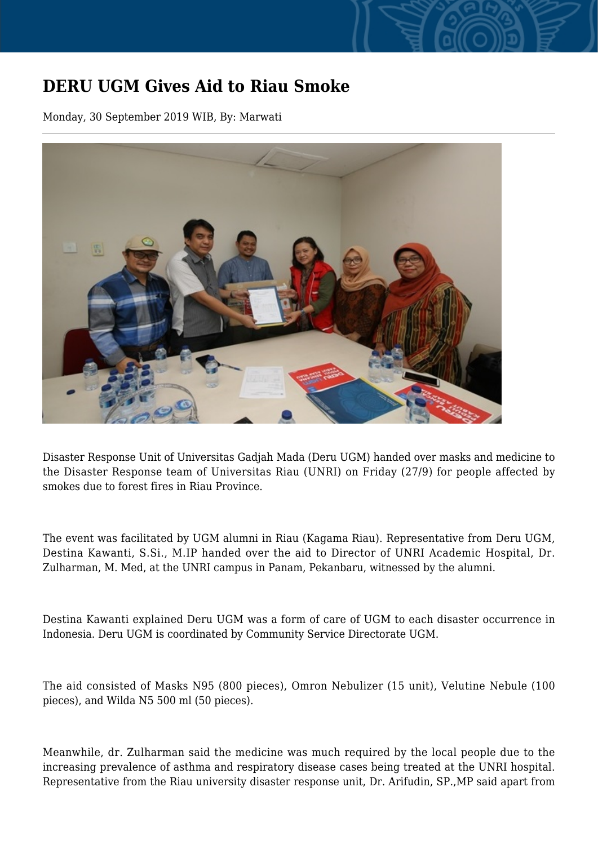## **DERU UGM Gives Aid to Riau Smoke**

Monday, 30 September 2019 WIB, By: Marwati



Disaster Response Unit of Universitas Gadjah Mada (Deru UGM) handed over masks and medicine to the Disaster Response team of Universitas Riau (UNRI) on Friday (27/9) for people affected by smokes due to forest fires in Riau Province.

The event was facilitated by UGM alumni in Riau (Kagama Riau). Representative from Deru UGM, Destina Kawanti, S.Si., M.IP handed over the aid to Director of UNRI Academic Hospital, Dr. Zulharman, M. Med, at the UNRI campus in Panam, Pekanbaru, witnessed by the alumni.

Destina Kawanti explained Deru UGM was a form of care of UGM to each disaster occurrence in Indonesia. Deru UGM is coordinated by Community Service Directorate UGM.

The aid consisted of Masks N95 (800 pieces), Omron Nebulizer (15 unit), Velutine Nebule (100 pieces), and Wilda N5 500 ml (50 pieces).

Meanwhile, dr. Zulharman said the medicine was much required by the local people due to the increasing prevalence of asthma and respiratory disease cases being treated at the UNRI hospital. Representative from the Riau university disaster response unit, Dr. Arifudin, SP.,MP said apart from